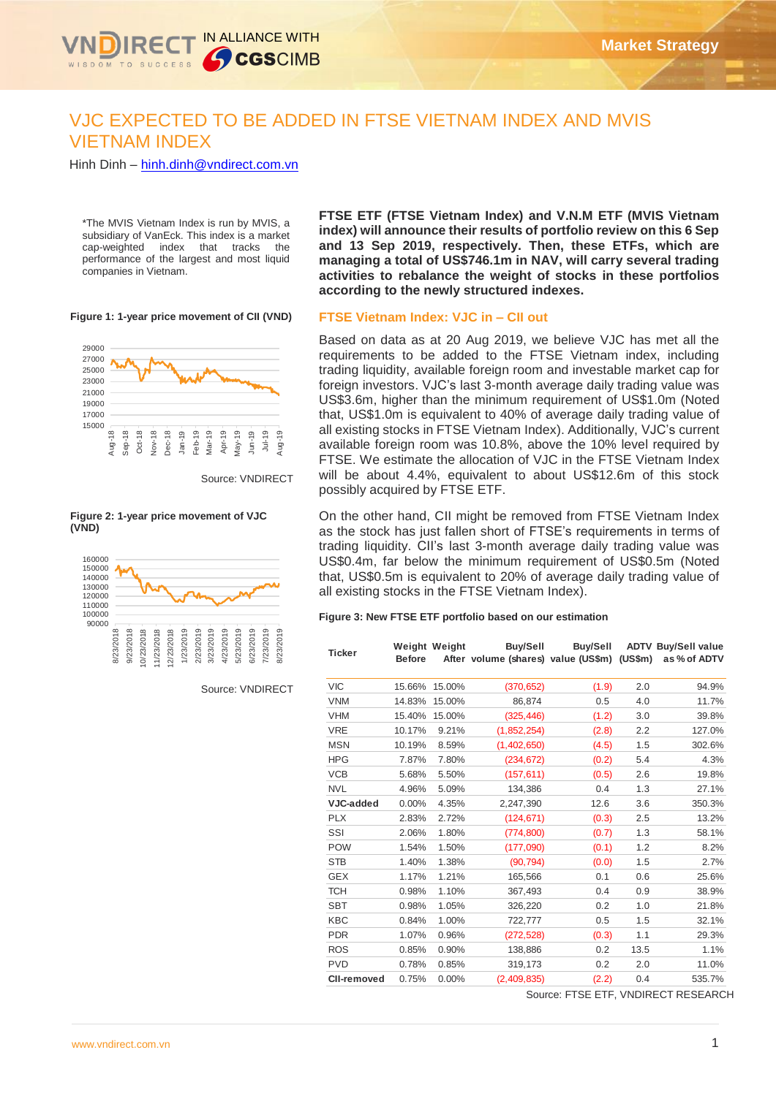

# VJC EXPECTED TO BE ADDED IN FTSE VIETNAM INDEX AND MVIS VIETNAM INDEX

Hinh Dinh – [hinh.dinh@vndirect.com.vn](mailto:hinh.dinh@vndirect.com.vn)

\*The MVIS Vietnam Index is run by MVIS, a subsidiary of VanEck. This index is a market cap-weighted index that tracks the performance of the largest and most liquid companies in Vietnam.

**Figure 1: 1-year price movement of CII (VND)**



Source: VNDIRECT

#### **Figure 2: 1-year price movement of VJC (VND)**



Source: VNDIRECT

**FTSE ETF (FTSE Vietnam Index) and V.N.M ETF (MVIS Vietnam index) will announce their results of portfolio review on this 6 Sep and 13 Sep 2019, respectively. Then, these ETFs, which are managing a total of US\$746.1m in NAV, will carry several trading activities to rebalance the weight of stocks in these portfolios according to the newly structured indexes.**

#### **FTSE Vietnam Index: VJC in – CII out**

Based on data as at 20 Aug 2019, we believe VJC has met all the Paced on data as at 20 Aug 2010, we sense vece has not an the requirements to be added to the FTSE victimal mack, including<br>trading liquidity, available foreign room and investable market cap for foreign investors. VJC's last 3-month average daily trading value was US\$3.6m, higher than the minimum requirement of US\$1.0m (Noted that, US\$1.0m is equivalent to 40% of average daily trading value of all existing stocks in FTSE Vietnam Index). Additionally, VJC's current available foreign room was 10.8%, above the 10% level required by FTSE. We estimate the allocation of VJC in the FTSE Vietnam Index will be about 4.4%, equivalent to about US\$12.6m of this stock possibly acquired by FTSE ETF.

On the other hand, CII might be removed from FTSE Vietnam Index as the stock has just fallen short of FTSE's requirements in terms of trading liquidity. CII's last 3-month average daily trading value was US\$0.4m, far below the minimum requirement of US\$0.5m (Noted that, US\$0.5m is equivalent to 20% of average daily trading value of all existing stocks in the FTSE Vietnam Index).

#### **Figure 3: New FTSE ETF portfolio based on our estimation**

| <b>Ticker</b>      | <b>Before</b> | Weight Weight | Buy/Sell<br>After volume (shares) value (US\$m) (US\$m) | Buy/Sell |      | <b>ADTV Buy/Sell value</b><br>as % of ADTV |
|--------------------|---------------|---------------|---------------------------------------------------------|----------|------|--------------------------------------------|
| <b>VIC</b>         | 15.66%        | 15.00%        | (370, 652)                                              | (1.9)    | 2.0  | 94.9%                                      |
| <b>VNM</b>         | 14.83%        | 15.00%        | 86,874                                                  | 0.5      | 4.0  | 11.7%                                      |
| <b>VHM</b>         | 15.40%        | 15.00%        | (325, 446)                                              | (1.2)    | 3.0  | 39.8%                                      |
| <b>VRE</b>         | 10.17%        | 9.21%         | (1,852,254)                                             | (2.8)    | 2.2  | 127.0%                                     |
| <b>MSN</b>         | 10.19%        | 8.59%         | (1,402,650)                                             | (4.5)    | 1.5  | 302.6%                                     |
| <b>HPG</b>         | 7.87%         | 7.80%         | (234, 672)                                              | (0.2)    | 5.4  | 4.3%                                       |
| <b>VCB</b>         | 5.68%         | 5.50%         | (157, 611)                                              | (0.5)    | 2.6  | 19.8%                                      |
| <b>NVL</b>         | 4.96%         | 5.09%         | 134,386                                                 | 0.4      | 1.3  | 27.1%                                      |
| VJC-added          | 0.00%         | 4.35%         | 2,247,390                                               | 12.6     | 3.6  | 350.3%                                     |
| <b>PLX</b>         | 2.83%         | 2.72%         | (124, 671)                                              | (0.3)    | 2.5  | 13.2%                                      |
| SSI                | 2.06%         | 1.80%         | (774, 800)                                              | (0.7)    | 1.3  | 58.1%                                      |
| <b>POW</b>         | 1.54%         | 1.50%         | (177,090)                                               | (0.1)    | 1.2  | 8.2%                                       |
| <b>STB</b>         | 1.40%         | 1.38%         | (90, 794)                                               | (0.0)    | 1.5  | 2.7%                                       |
| <b>GEX</b>         | 1.17%         | 1.21%         | 165,566                                                 | 0.1      | 0.6  | 25.6%                                      |
| <b>TCH</b>         | 0.98%         | 1.10%         | 367,493                                                 | 0.4      | 0.9  | 38.9%                                      |
| <b>SBT</b>         | 0.98%         | 1.05%         | 326,220                                                 | 0.2      | 1.0  | 21.8%                                      |
| <b>KBC</b>         | 0.84%         | 1.00%         | 722,777                                                 | 0.5      | 1.5  | 32.1%                                      |
| <b>PDR</b>         | 1.07%         | 0.96%         | (272, 528)                                              | (0.3)    | 1.1  | 29.3%                                      |
| <b>ROS</b>         | 0.85%         | 0.90%         | 138,886                                                 | 0.2      | 13.5 | 1.1%                                       |
| <b>PVD</b>         | 0.78%         | 0.85%         | 319,173                                                 | 0.2      | 2.0  | 11.0%                                      |
| <b>CII-removed</b> | 0.75%         | 0.00%         | (2,409,835)                                             | (2.2)    | 0.4  | 535.7%                                     |

Source: FTSE ETF, VNDIRECT RESEARCH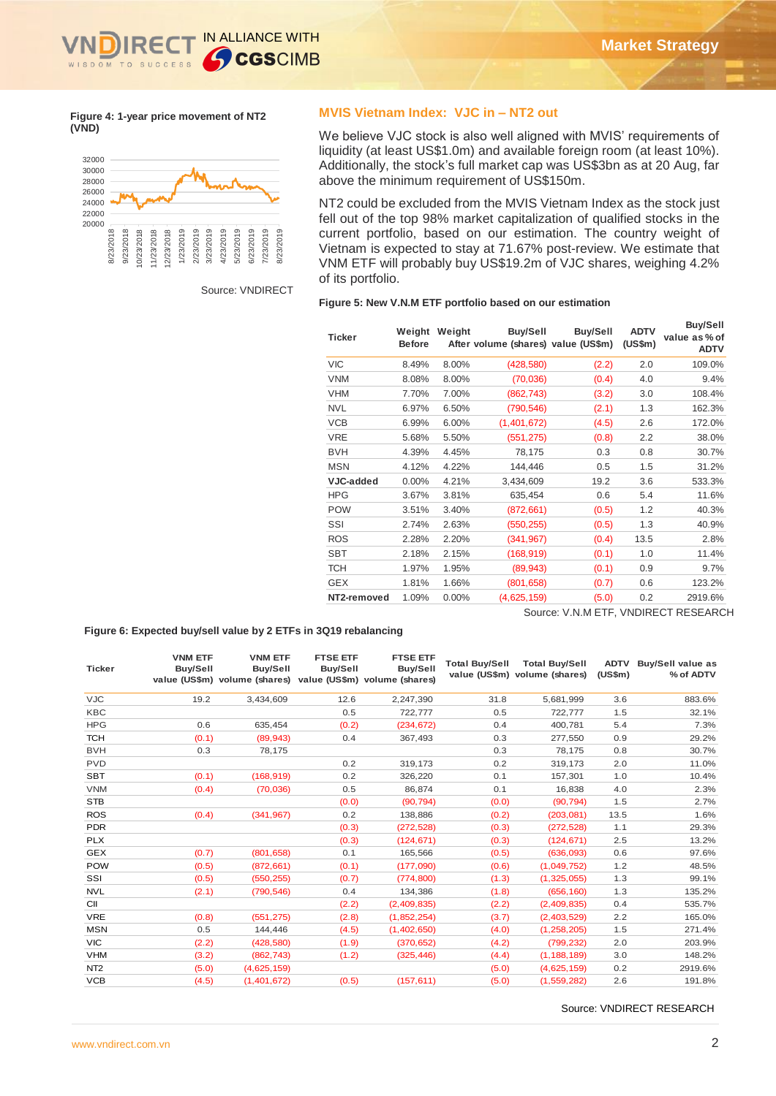

**Figure 4: 1-year price movement of NT2 (VND)**



Source: VNDIRECT

#### **MVIS Vietnam Index: VJC in – NT2 out**

We believe VJC stock is also well aligned with MVIS' requirements of liquidity (at least US\$1.0m) and available foreign room (at least 10%). Additionally, the stock's full market cap was US\$3bn as at 20 Aug, far Additionally, the stock of tail matrier cap was exampled.

NT2 could be excluded from the MVIS Vietnam Index as the stock just fell out of the top 98% market capitalization of qualified stocks in the number of the correct of the correct portfolio, based on our estimation. The country weight of  $\frac{1}{2}$ Vietnam is expected to stay at 71.67% post-review. We estimate that VNM ETF will probably buy US\$19.2m of VJC shares, weighing 4.2% of its portfolio.

#### **Figure 5: New V.N.M ETF portfolio based on our estimation**

| Ticker           | Weight<br><b>Before</b> | Weight | <b>Buy/Sell</b><br>After volume (shares) value (US\$m) | <b>Buy/Sell</b> | <b>ADTV</b><br>(US\$m) | <b>Buy/Sell</b><br>value as % of<br><b>ADTV</b> |
|------------------|-------------------------|--------|--------------------------------------------------------|-----------------|------------------------|-------------------------------------------------|
| <b>VIC</b>       | 8.49%                   | 8.00%  | (428,580)                                              | (2.2)           | 2.0                    | 109.0%                                          |
| <b>VNM</b>       | 8.08%                   | 8.00%  | (70,036)                                               | (0.4)           | 4.0                    | 9.4%                                            |
| <b>VHM</b>       | 7.70%                   | 7.00%  | (862, 743)                                             | (3.2)           | 3.0                    | 108.4%                                          |
| <b>NVL</b>       | 6.97%                   | 6.50%  | (790, 546)                                             | (2.1)           | 1.3                    | 162.3%                                          |
| <b>VCB</b>       | 6.99%                   | 6.00%  | (1,401,672)                                            | (4.5)           | 2.6                    | 172.0%                                          |
| <b>VRE</b>       | 5.68%                   | 5.50%  | (551, 275)                                             | (0.8)           | 2.2                    | 38.0%                                           |
| <b>BVH</b>       | 4.39%                   | 4.45%  | 78,175                                                 | 0.3             | 0.8                    | 30.7%                                           |
| <b>MSN</b>       | 4.12%                   | 4.22%  | 144,446                                                | 0.5             | 1.5                    | 31.2%                                           |
| <b>VJC-added</b> | $0.00\%$                | 4.21%  | 3,434,609                                              | 19.2            | 3.6                    | 533.3%                                          |
| <b>HPG</b>       | 3.67%                   | 3.81%  | 635,454                                                | 0.6             | 5.4                    | 11.6%                                           |
| <b>POW</b>       | 3.51%                   | 3.40%  | (872, 661)                                             | (0.5)           | 1.2                    | 40.3%                                           |
| SSI              | 2.74%                   | 2.63%  | (550, 255)                                             | (0.5)           | 1.3                    | 40.9%                                           |
| <b>ROS</b>       | 2.28%                   | 2.20%  | (341, 967)                                             | (0.4)           | 13.5                   | 2.8%                                            |
| <b>SBT</b>       | 2.18%                   | 2.15%  | (168, 919)                                             | (0.1)           | 1.0                    | 11.4%                                           |
| <b>TCH</b>       | 1.97%                   | 1.95%  | (89, 943)                                              | (0.1)           | 0.9                    | 9.7%                                            |
| <b>GEX</b>       | 1.81%                   | 1.66%  | (801, 658)                                             | (0.7)           | 0.6                    | 123.2%                                          |
| NT2-removed      | 1.09%                   | 0.00%  | (4,625,159)                                            | (5.0)           | 0.2                    | 2919.6%                                         |

Source: V.N.M ETF, VNDIRECT RESEARCH

#### **Figure 6: Expected buy/sell value by 2 ETFs in 3Q19 rebalancing**

|                               |                 |                            | Ticker                                                      | <b>Before</b>     | Weight Weight | <b>Buy/Sell</b><br>After volume (shares) value (US\$m) |                              | <b>Buy/Sell</b> | <b>ADTV</b><br>(US\$m) | ,,, <del>,</del> ,<br>value as%o<br><b>ADT</b> |
|-------------------------------|-----------------|----------------------------|-------------------------------------------------------------|-------------------|---------------|--------------------------------------------------------|------------------------------|-----------------|------------------------|------------------------------------------------|
|                               |                 |                            | <b>VIC</b>                                                  | 8.49%             | 8.00%         | (428, 580)                                             |                              | (2.2)           | 2.0                    | 109.09                                         |
|                               |                 |                            | <b>VNM</b>                                                  | 8.08%             | 8.00%         | (70,036)                                               |                              | (0.4)           | 4.0                    | 9.4 <sup>c</sup>                               |
|                               |                 |                            | <b>VHM</b>                                                  | 7.70%             | 7.00%         | (862, 743)                                             |                              | (3.2)           | 3.0                    | 108.49                                         |
|                               |                 |                            | <b>NVL</b>                                                  | 6.97%             | 6.50%         | (790, 546)                                             |                              | (2.1)           | 1.3                    | 162.39                                         |
|                               |                 |                            | <b>VCB</b>                                                  | 6.99%             | 6.00%         | (1,401,672)                                            |                              | (4.5)           | 2.6                    | 172.09                                         |
|                               |                 |                            | <b>VRE</b>                                                  | 5.68%             | 5.50%         | (551, 275)                                             |                              | (0.8)           | 2.2                    | 38.09                                          |
|                               |                 |                            | <b>BVH</b>                                                  | 4.39%             | 4.45%         | 78,175                                                 |                              | 0.3             | 0.8                    | 30.79                                          |
|                               |                 |                            | <b>MSN</b>                                                  |                   |               |                                                        |                              |                 |                        |                                                |
|                               |                 |                            |                                                             | 4.12%             | 4.22%         | 144,446                                                |                              | 0.5             | 1.5                    | 31.29                                          |
|                               |                 |                            | VJC-added                                                   | 0.00%             | 4.21%         | 3,434,609                                              |                              | 19.2            | 3.6                    | 533.39                                         |
|                               |                 |                            | <b>HPG</b>                                                  | 3.67%             | 3.81%         | 635,454                                                |                              | 0.6             | 5.4                    | 11.69                                          |
|                               |                 |                            | <b>POW</b>                                                  | 3.51%             | 3.40%         | (872, 661)                                             |                              | (0.5)           | 1.2                    | 40.3%                                          |
|                               |                 |                            | SSI                                                         | 2.74%             | 2.63%         | (550, 255)                                             |                              | (0.5)           | 1.3                    | 40.9 <sup>c</sup>                              |
|                               |                 |                            | <b>ROS</b>                                                  | 2.28%             | 2.20%         | (341, 967)                                             |                              | (0.4)           | 13.5                   | 2.8 <sup>c</sup>                               |
|                               |                 |                            | <b>SBT</b>                                                  | 2.18%             | 2.15%         | (168, 919)                                             |                              | (0.1)           | 1.0                    | 11.49                                          |
|                               |                 |                            | <b>TCH</b>                                                  | 1.97%             | 1.95%         | (89, 943)                                              |                              | (0.1)           | 0.9                    | 9.7°                                           |
|                               |                 |                            | <b>GEX</b>                                                  | 1.81%             | 1.66%         | (801, 658)                                             |                              | (0.7)           | 0.6                    | 123.29                                         |
|                               |                 |                            | NT2-removed                                                 | 1.09%             | 0.00%         | (4,625,159)                                            |                              | (5.0)           | 0.2                    | 2919.6%                                        |
|                               | <b>VNM ETF</b>  | <b>VNM ETF</b>             | <b>FTSE ETF</b>                                             | <b>FTSE ETF</b>   |               |                                                        |                              |                 |                        |                                                |
| Ticker                        | <b>Buy/Sell</b> | <b>Buy/Sell</b>            | <b>Buy/Sell</b>                                             | <b>Buy/Sell</b>   |               | <b>Total Buy/Sell</b><br>value (US\$m) volume (shares) | <b>Total Buy/Sell</b>        | (US\$m)         |                        | ADTV Buy/Sell value as<br>% of ADTV            |
|                               |                 |                            | value (US\$m) volume (shares) value (US\$m) volume (shares) |                   |               |                                                        |                              |                 |                        |                                                |
| <b>VJC</b>                    | 19.2            | 3,434,609                  | 12.6                                                        | 2,247,390         |               | 31.8                                                   | 5,681,999                    | 3.6             |                        | 883.6%                                         |
| KBC                           |                 |                            | 0.5                                                         | 722,777           |               | 0.5                                                    | 722,777                      | 1.5             |                        | 32.1%                                          |
| <b>HPG</b>                    | 0.6             | 635,454                    | (0.2)                                                       | (234, 672)        |               | 0.4                                                    | 400,781                      | 5.4             |                        | 7.3%                                           |
| <b>TCH</b>                    | (0.1)           | (89, 943)                  | 0.4                                                         | 367,493           |               | 0.3                                                    | 277,550                      | 0.9             |                        | 29.2%                                          |
| <b>BVH</b><br><b>PVD</b>      | 0.3             | 78,175                     |                                                             |                   |               | 0.3                                                    | 78,175                       | 0.8             |                        | 30.7%                                          |
| SBT                           |                 |                            | 0.2<br>0.2                                                  | 319,173           |               | 0.2<br>0.1                                             | 319,173                      | 2.0<br>1.0      |                        | 11.0%                                          |
| <b>VNM</b>                    | (0.1)<br>(0.4)  | (168, 919)<br>(70, 036)    | 0.5                                                         | 326,220<br>86,874 |               | 0.1                                                    | 157,301<br>16,838            | 4.0             |                        | 10.4%<br>2.3%                                  |
| <b>STB</b>                    |                 |                            | (0.0)                                                       | (90, 794)         |               | (0.0)                                                  | (90, 794)                    | 1.5             |                        | 2.7%                                           |
| ROS                           | (0.4)           | (341, 967)                 | 0.2                                                         | 138,886           |               | (0.2)                                                  | (203, 081)                   | 13.5            |                        | 1.6%                                           |
| <b>PDR</b>                    |                 |                            | (0.3)                                                       | (272, 528)        |               | (0.3)                                                  | (272, 528)                   | 1.1             |                        | 29.3%                                          |
| <b>PLX</b>                    |                 |                            | (0.3)                                                       | (124, 671)        |               | (0.3)                                                  | (124, 671)                   | 2.5             |                        | 13.2%                                          |
| GEX                           | (0.7)           | (801, 658)                 | 0.1                                                         | 165,566           |               | (0.5)                                                  | (636,093)                    | 0.6             |                        | 97.6%                                          |
| <b>POW</b>                    | (0.5)           | (872, 661)                 | (0.1)                                                       | (177,090)         |               | (0.6)                                                  | (1,049,752)                  | 1.2             |                        | 48.5%                                          |
| SSI                           | (0.5)           | (550, 255)                 | (0.7)                                                       | (774, 800)        |               | (1.3)                                                  | (1,325,055)                  | 1.3             |                        | 99.1%                                          |
| <b>NVL</b>                    | (2.1)           | (790, 546)                 | 0.4                                                         | 134,386           |               | (1.8)                                                  | (656, 160)                   | 1.3             |                        | 135.2%                                         |
| СII                           |                 |                            | (2.2)                                                       | (2,409,835)       |               | (2.2)                                                  | (2,409,835)                  | 0.4             |                        | 535.7%                                         |
| VRE                           | (0.8)           | (551, 275)                 | (2.8)                                                       | (1,852,254)       |               | (3.7)                                                  | (2,403,529)                  | 2.2             |                        | 165.0%                                         |
| MSN                           | 0.5             | 144,446                    | (4.5)                                                       | (1,402,650)       |               | (4.0)                                                  | (1, 258, 205)                | 1.5             |                        | 271.4%                                         |
| <b>VIC</b>                    | (2.2)           | (428, 580)                 | (1.9)                                                       | (370, 652)        |               | (4.2)                                                  | (799, 232)                   | 2.0             |                        | 203.9%                                         |
| VHM                           | (3.2)           | (862, 743)                 | (1.2)                                                       | (325, 446)        |               | (4.4)                                                  | (1, 188, 189)                | 3.0             |                        | 148.2%                                         |
| NT <sub>2</sub><br><b>VCB</b> | (5.0)<br>(4.5)  | (4,625,159)<br>(1,401,672) | (0.5)                                                       | (157, 611)        |               | (5.0)<br>(5.0)                                         | (4,625,159)<br>(1, 559, 282) | 0.2<br>2.6      |                        | 2919.6%<br>191.8%                              |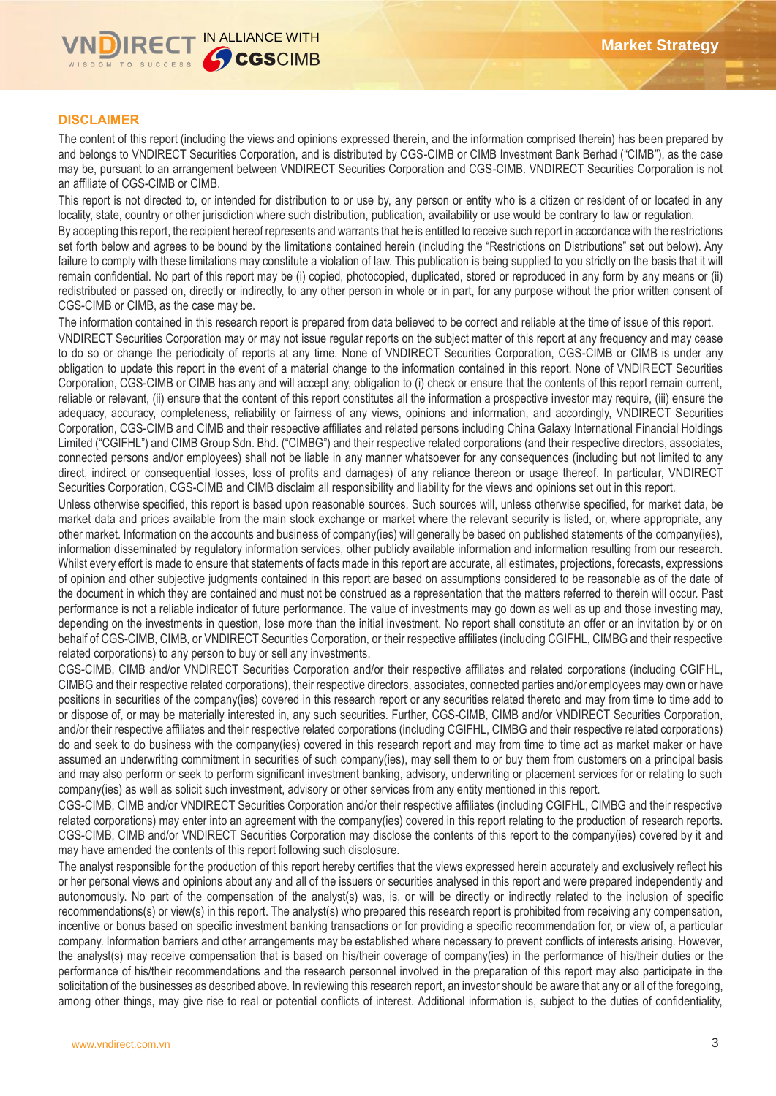

# **DISCLAIMER**

The content of this report (including the views and opinions expressed therein, and the information comprised therein) has been prepared by and belongs to VNDIRECT Securities Corporation, and is distributed by CGS-CIMB or CIMB Investment Bank Berhad ("CIMB"), as the case may be, pursuant to an arrangement between VNDIRECT Securities Corporation and CGS-CIMB. VNDIRECT Securities Corporation is not an affiliate of CGS-CIMB or CIMB.

This report is not directed to, or intended for distribution to or use by, any person or entity who is a citizen or resident of or located in any locality, state, country or other jurisdiction where such distribution, publication, availability or use would be contrary to law or regulation.

By accepting this report, the recipient hereof represents and warrants that he is entitled to receive such report in accordance with the restrictions set forth below and agrees to be bound by the limitations contained herein (including the "Restrictions on Distributions" set out below). Any failure to comply with these limitations may constitute a violation of law. This publication is being supplied to you strictly on the basis that it will remain confidential. No part of this report may be (i) copied, photocopied, duplicated, stored or reproduced in any form by any means or (ii) redistributed or passed on, directly or indirectly, to any other person in whole or in part, for any purpose without the prior written consent of CGS-CIMB or CIMB, as the case may be.

The information contained in this research report is prepared from data believed to be correct and reliable at the time of issue of this report. VNDIRECT Securities Corporation may or may not issue regular reports on the subject matter of this report at any frequency and may cease to do so or change the periodicity of reports at any time. None of VNDIRECT Securities Corporation, CGS-CIMB or CIMB is under any obligation to update this report in the event of a material change to the information contained in this report. None of VNDIRECT Securities Corporation, CGS-CIMB or CIMB has any and will accept any, obligation to (i) check or ensure that the contents of this report remain current, reliable or relevant, (ii) ensure that the content of this report constitutes all the information a prospective investor may require, (iii) ensure the adequacy, accuracy, completeness, reliability or fairness of any views, opinions and information, and accordingly, VNDIRECT Securities Corporation, CGS-CIMB and CIMB and their respective affiliates and related persons including China Galaxy International Financial Holdings Limited ("CGIFHL") and CIMB Group Sdn. Bhd. ("CIMBG") and their respective related corporations (and their respective directors, associates, connected persons and/or employees) shall not be liable in any manner whatsoever for any consequences (including but not limited to any direct, indirect or consequential losses, loss of profits and damages) of any reliance thereon or usage thereof. In particular, VNDIRECT Securities Corporation, CGS-CIMB and CIMB disclaim all responsibility and liability for the views and opinions set out in this report.

Unless otherwise specified, this report is based upon reasonable sources. Such sources will, unless otherwise specified, for market data, be market data and prices available from the main stock exchange or market where the relevant security is listed, or, where appropriate, any other market. Information on the accounts and business of company(ies) will generally be based on published statements of the company(ies), information disseminated by regulatory information services, other publicly available information and information resulting from our research. Whilst every effort is made to ensure that statements of facts made in this report are accurate, all estimates, projections, forecasts, expressions of opinion and other subjective judgments contained in this report are based on assumptions considered to be reasonable as of the date of the document in which they are contained and must not be construed as a representation that the matters referred to therein will occur. Past performance is not a reliable indicator of future performance. The value of investments may go down as well as up and those investing may, depending on the investments in question, lose more than the initial investment. No report shall constitute an offer or an invitation by or on behalf of CGS-CIMB, CIMB, or VNDIRECT Securities Corporation, or their respective affiliates (including CGIFHL, CIMBG and their respective related corporations) to any person to buy or sell any investments.

CGS-CIMB, CIMB and/or VNDIRECT Securities Corporation and/or their respective affiliates and related corporations (including CGIFHL, CIMBG and their respective related corporations), their respective directors, associates, connected parties and/or employees may own or have positions in securities of the company(ies) covered in this research report or any securities related thereto and may from time to time add to or dispose of, or may be materially interested in, any such securities. Further, CGS-CIMB, CIMB and/or VNDIRECT Securities Corporation, and/or their respective affiliates and their respective related corporations (including CGIFHL, CIMBG and their respective related corporations) do and seek to do business with the company(ies) covered in this research report and may from time to time act as market maker or have assumed an underwriting commitment in securities of such company(ies), may sell them to or buy them from customers on a principal basis and may also perform or seek to perform significant investment banking, advisory, underwriting or placement services for or relating to such company(ies) as well as solicit such investment, advisory or other services from any entity mentioned in this report.

CGS-CIMB, CIMB and/or VNDIRECT Securities Corporation and/or their respective affiliates (including CGIFHL, CIMBG and their respective related corporations) may enter into an agreement with the company(ies) covered in this report relating to the production of research reports. CGS-CIMB, CIMB and/or VNDIRECT Securities Corporation may disclose the contents of this report to the company(ies) covered by it and may have amended the contents of this report following such disclosure.

The analyst responsible for the production of this report hereby certifies that the views expressed herein accurately and exclusively reflect his or her personal views and opinions about any and all of the issuers or securities analysed in this report and were prepared independently and autonomously. No part of the compensation of the analyst(s) was, is, or will be directly or indirectly related to the inclusion of specific recommendations(s) or view(s) in this report. The analyst(s) who prepared this research report is prohibited from receiving any compensation, incentive or bonus based on specific investment banking transactions or for providing a specific recommendation for, or view of, a particular company. Information barriers and other arrangements may be established where necessary to prevent conflicts of interests arising. However, the analyst(s) may receive compensation that is based on his/their coverage of company(ies) in the performance of his/their duties or the performance of his/their recommendations and the research personnel involved in the preparation of this report may also participate in the solicitation of the businesses as described above. In reviewing this research report, an investor should be aware that any or all of the foregoing, among other things, may give rise to real or potential conflicts of interest. Additional information is, subject to the duties of confidentiality,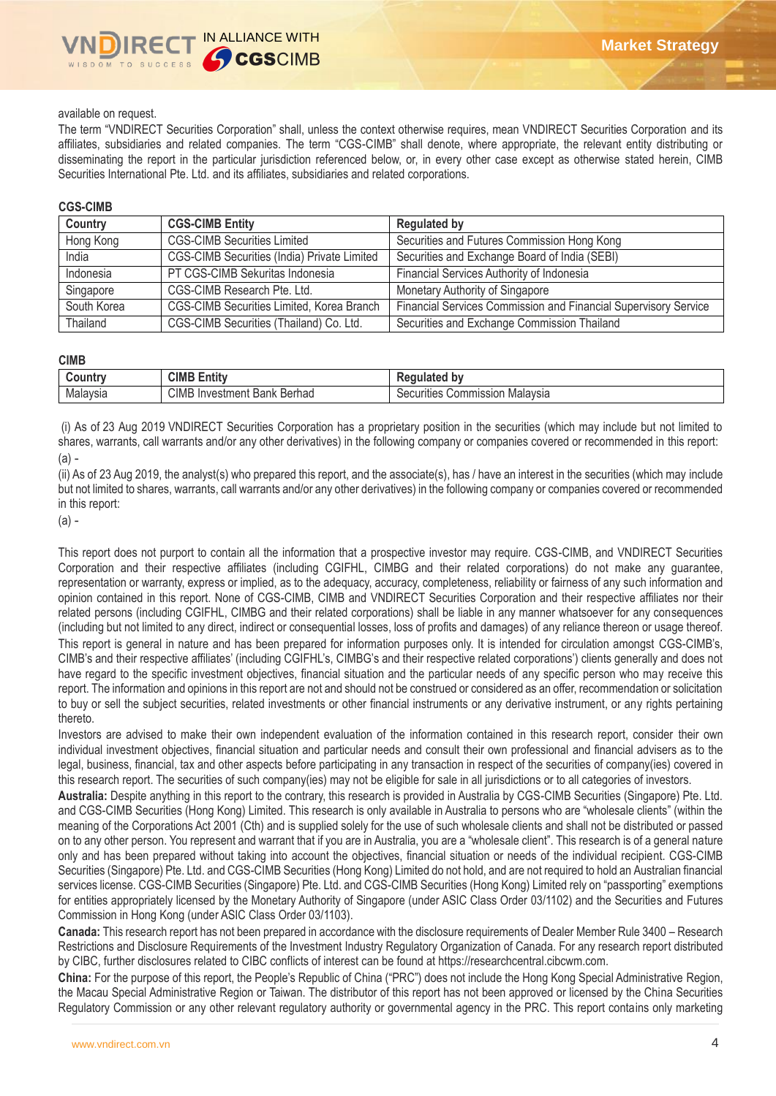## available on request.

The term "VNDIRECT Securities Corporation" shall, unless the context otherwise requires, mean VNDIRECT Securities Corporation and its affiliates, subsidiaries and related companies. The term "CGS-CIMB" shall denote, where appropriate, the relevant entity distributing or disseminating the report in the particular jurisdiction referenced below, or, in every other case except as otherwise stated herein, CIMB Securities International Pte. Ltd. and its affiliates, subsidiaries and related corporations.

### **CGS-CIMB**

| Country     | <b>CGS-CIMB Entity</b>                             | <b>Regulated by</b>                                             |
|-------------|----------------------------------------------------|-----------------------------------------------------------------|
| Hong Kong   | <b>CGS-CIMB Securities Limited</b>                 | Securities and Futures Commission Hong Kong                     |
| India       | <b>CGS-CIMB Securities (India) Private Limited</b> | Securities and Exchange Board of India (SEBI)                   |
| Indonesia   | PT CGS-CIMB Sekuritas Indonesia                    | Financial Services Authority of Indonesia                       |
| Singapore   | CGS-CIMB Research Pte. Ltd.                        | Monetary Authority of Singapore                                 |
| South Korea | CGS-CIMB Securities Limited, Korea Branch          | Financial Services Commission and Financial Supervisory Service |
| Thailand    | CGS-CIMB Securities (Thailand) Co. Ltd.            | Securities and Exchange Commission Thailand                     |

#### **CIMB**

| .ountr<br> | CIMB<br>$\overline{1}$<br>$-$<br><b>Entit</b>                                | bv<br>டய<br>$\sim$                          |
|------------|------------------------------------------------------------------------------|---------------------------------------------|
| Malaysia   | <b>CIMB</b><br>Berhad<br>nvestment<br>In<br>$\overline{\phantom{a}}$<br>Bank | Malavsia<br>ommission<br>Securities<br>UU . |

(i) As of 23 Aug 2019 VNDIRECT Securities Corporation has a proprietary position in the securities (which may include but not limited to shares, warrants, call warrants and/or any other derivatives) in the following company or companies covered or recommended in this report: (a) -

(ii) As of 23 Aug 2019, the analyst(s) who prepared this report, and the associate(s), has / have an interest in the securities (which may include but not limited to shares, warrants, call warrants and/or any other derivatives) in the following company or companies covered or recommended in this report:

(a) -

This report does not purport to contain all the information that a prospective investor may require. CGS-CIMB, and VNDIRECT Securities Corporation and their respective affiliates (including CGIFHL, CIMBG and their related corporations) do not make any guarantee, representation or warranty, express or implied, as to the adequacy, accuracy, completeness, reliability or fairness of any such information and opinion contained in this report. None of CGS-CIMB, CIMB and VNDIRECT Securities Corporation and their respective affiliates nor their related persons (including CGIFHL, CIMBG and their related corporations) shall be liable in any manner whatsoever for any consequences (including but not limited to any direct, indirect or consequential losses, loss of profits and damages) of any reliance thereon or usage thereof. This report is general in nature and has been prepared for information purposes only. It is intended for circulation amongst CGS-CIMB's, CIMB's and their respective affiliates' (including CGIFHL's, CIMBG's and their respective related corporations') clients generally and does not have regard to the specific investment objectives, financial situation and the particular needs of any specific person who may receive this report. The information and opinions in this report are not and should not be construed or considered as an offer, recommendation or solicitation to buy or sell the subject securities, related investments or other financial instruments or any derivative instrument, or any rights pertaining thereto.

Investors are advised to make their own independent evaluation of the information contained in this research report, consider their own individual investment objectives, financial situation and particular needs and consult their own professional and financial advisers as to the legal, business, financial, tax and other aspects before participating in any transaction in respect of the securities of company(ies) covered in this research report. The securities of such company(ies) may not be eligible for sale in all jurisdictions or to all categories of investors.

**Australia:** Despite anything in this report to the contrary, this research is provided in Australia by CGS-CIMB Securities (Singapore) Pte. Ltd. and CGS-CIMB Securities (Hong Kong) Limited. This research is only available in Australia to persons who are "wholesale clients" (within the meaning of the Corporations Act 2001 (Cth) and is supplied solely for the use of such wholesale clients and shall not be distributed or passed on to any other person. You represent and warrant that if you are in Australia, you are a "wholesale client". This research is of a general nature only and has been prepared without taking into account the objectives, financial situation or needs of the individual recipient. CGS-CIMB Securities (Singapore) Pte. Ltd. and CGS-CIMB Securities (Hong Kong) Limited do not hold, and are not required to hold an Australian financial services license. CGS-CIMB Securities (Singapore) Pte. Ltd. and CGS-CIMB Securities (Hong Kong) Limited rely on "passporting" exemptions for entities appropriately licensed by the Monetary Authority of Singapore (under ASIC Class Order 03/1102) and the Securities and Futures Commission in Hong Kong (under ASIC Class Order 03/1103).

**Canada:** This research report has not been prepared in accordance with the disclosure requirements of Dealer Member Rule 3400 – Research Restrictions and Disclosure Requirements of the Investment Industry Regulatory Organization of Canada. For any research report distributed by CIBC, further disclosures related to CIBC conflicts of interest can be found at https://researchcentral.cibcwm.com.

**China:** For the purpose of this report, the People's Republic of China ("PRC") does not include the Hong Kong Special Administrative Region, the Macau Special Administrative Region or Taiwan. The distributor of this report has not been approved or licensed by the China Securities Regulatory Commission or any other relevant regulatory authority or governmental agency in the PRC. This report contains only marketing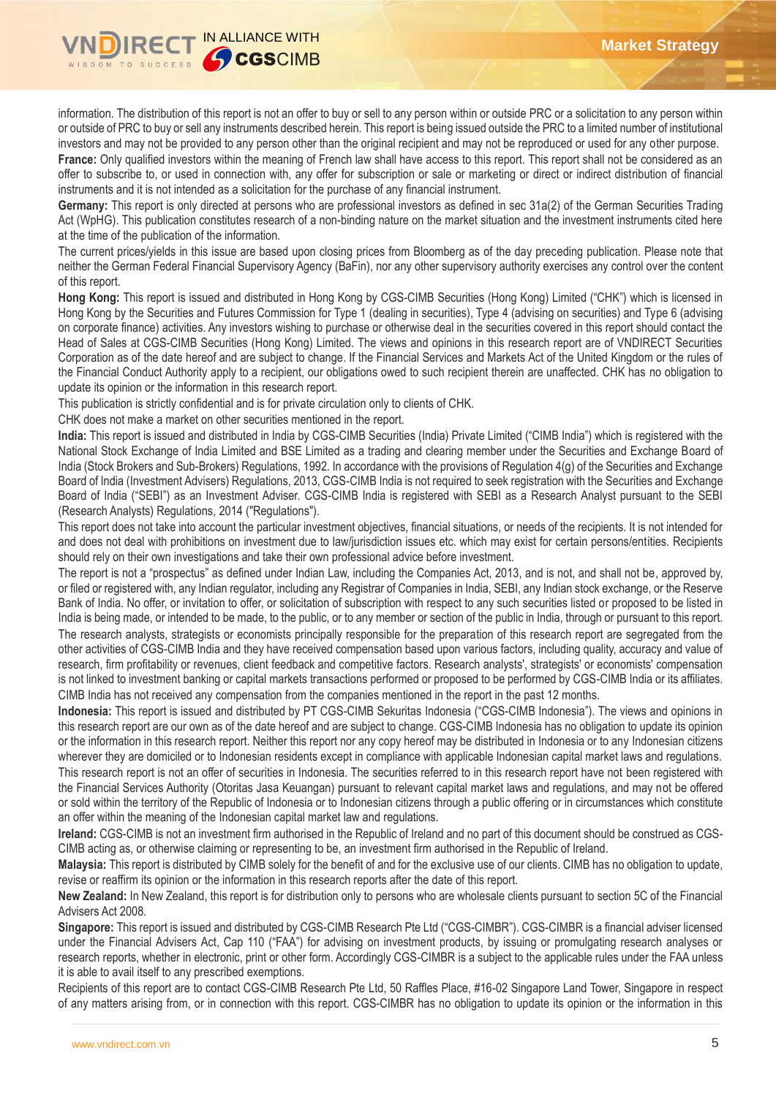

information. The distribution of this report is not an offer to buy or sell to any person within or outside PRC or a solicitation to any person within or outside of PRC to buy or sell any instruments described herein. This report is being issued outside the PRC to a limited number of institutional investors and may not be provided to any person other than the original recipient and may not be reproduced or used for any other purpose.

France: Only qualified investors within the meaning of French law shall have access to this report. This report shall not be considered as an offer to subscribe to, or used in connection with, any offer for subscription or sale or marketing or direct or indirect distribution of financial instruments and it is not intended as a solicitation for the purchase of any financial instrument.

**Germany:** This report is only directed at persons who are professional investors as defined in sec 31a(2) of the German Securities Trading Act (WpHG). This publication constitutes research of a non-binding nature on the market situation and the investment instruments cited here at the time of the publication of the information.

The current prices/yields in this issue are based upon closing prices from Bloomberg as of the day preceding publication. Please note that neither the German Federal Financial Supervisory Agency (BaFin), nor any other supervisory authority exercises any control over the content of this report.

**Hong Kong:** This report is issued and distributed in Hong Kong by CGS-CIMB Securities (Hong Kong) Limited ("CHK") which is licensed in Hong Kong by the Securities and Futures Commission for Type 1 (dealing in securities), Type 4 (advising on securities) and Type 6 (advising on corporate finance) activities. Any investors wishing to purchase or otherwise deal in the securities covered in this report should contact the Head of Sales at CGS-CIMB Securities (Hong Kong) Limited. The views and opinions in this research report are of VNDIRECT Securities Corporation as of the date hereof and are subject to change. If the Financial Services and Markets Act of the United Kingdom or the rules of the Financial Conduct Authority apply to a recipient, our obligations owed to such recipient therein are unaffected. CHK has no obligation to update its opinion or the information in this research report.

This publication is strictly confidential and is for private circulation only to clients of CHK.

CHK does not make a market on other securities mentioned in the report.

**India:** This report is issued and distributed in India by CGS-CIMB Securities (India) Private Limited ("CIMB India") which is registered with the National Stock Exchange of India Limited and BSE Limited as a trading and clearing member under the Securities and Exchange Board of India (Stock Brokers and Sub-Brokers) Regulations, 1992. In accordance with the provisions of Regulation 4(g) of the Securities and Exchange Board of India (Investment Advisers) Regulations, 2013, CGS-CIMB India is not required to seek registration with the Securities and Exchange Board of India ("SEBI") as an Investment Adviser. CGS-CIMB India is registered with SEBI as a Research Analyst pursuant to the SEBI (Research Analysts) Regulations, 2014 ("Regulations").

This report does not take into account the particular investment objectives, financial situations, or needs of the recipients. It is not intended for and does not deal with prohibitions on investment due to law/jurisdiction issues etc. which may exist for certain persons/entities. Recipients should rely on their own investigations and take their own professional advice before investment.

The report is not a "prospectus" as defined under Indian Law, including the Companies Act, 2013, and is not, and shall not be, approved by, or filed or registered with, any Indian regulator, including any Registrar of Companies in India, SEBI, any Indian stock exchange, or the Reserve Bank of India. No offer, or invitation to offer, or solicitation of subscription with respect to any such securities listed or proposed to be listed in India is being made, or intended to be made, to the public, or to any member or section of the public in India, through or pursuant to this report. The research analysts, strategists or economists principally responsible for the preparation of this research report are segregated from the other activities of CGS-CIMB India and they have received compensation based upon various factors, including quality, accuracy and value of research, firm profitability or revenues, client feedback and competitive factors. Research analysts', strategists' or economists' compensation is not linked to investment banking or capital markets transactions performed or proposed to be performed by CGS-CIMB India or its affiliates. CIMB India has not received any compensation from the companies mentioned in the report in the past 12 months.

**Indonesia:** This report is issued and distributed by PT CGS-CIMB Sekuritas Indonesia ("CGS-CIMB Indonesia"). The views and opinions in this research report are our own as of the date hereof and are subject to change. CGS-CIMB Indonesia has no obligation to update its opinion or the information in this research report. Neither this report nor any copy hereof may be distributed in Indonesia or to any Indonesian citizens wherever they are domiciled or to Indonesian residents except in compliance with applicable Indonesian capital market laws and regulations. This research report is not an offer of securities in Indonesia. The securities referred to in this research report have not been registered with the Financial Services Authority (Otoritas Jasa Keuangan) pursuant to relevant capital market laws and regulations, and may not be offered or sold within the territory of the Republic of Indonesia or to Indonesian citizens through a public offering or in circumstances which constitute an offer within the meaning of the Indonesian capital market law and regulations.

**Ireland:** CGS-CIMB is not an investment firm authorised in the Republic of Ireland and no part of this document should be construed as CGS-CIMB acting as, or otherwise claiming or representing to be, an investment firm authorised in the Republic of Ireland.

**Malaysia:** This report is distributed by CIMB solely for the benefit of and for the exclusive use of our clients. CIMB has no obligation to update, revise or reaffirm its opinion or the information in this research reports after the date of this report.

**New Zealand:** In New Zealand, this report is for distribution only to persons who are wholesale clients pursuant to section 5C of the Financial Advisers Act 2008.

**Singapore:** This report is issued and distributed by CGS-CIMB Research Pte Ltd ("CGS-CIMBR"). CGS-CIMBR is a financial adviser licensed under the Financial Advisers Act, Cap 110 ("FAA") for advising on investment products, by issuing or promulgating research analyses or research reports, whether in electronic, print or other form. Accordingly CGS-CIMBR is a subject to the applicable rules under the FAA unless it is able to avail itself to any prescribed exemptions.

Recipients of this report are to contact CGS-CIMB Research Pte Ltd, 50 Raffles Place, #16-02 Singapore Land Tower, Singapore in respect of any matters arising from, or in connection with this report. CGS-CIMBR has no obligation to update its opinion or the information in this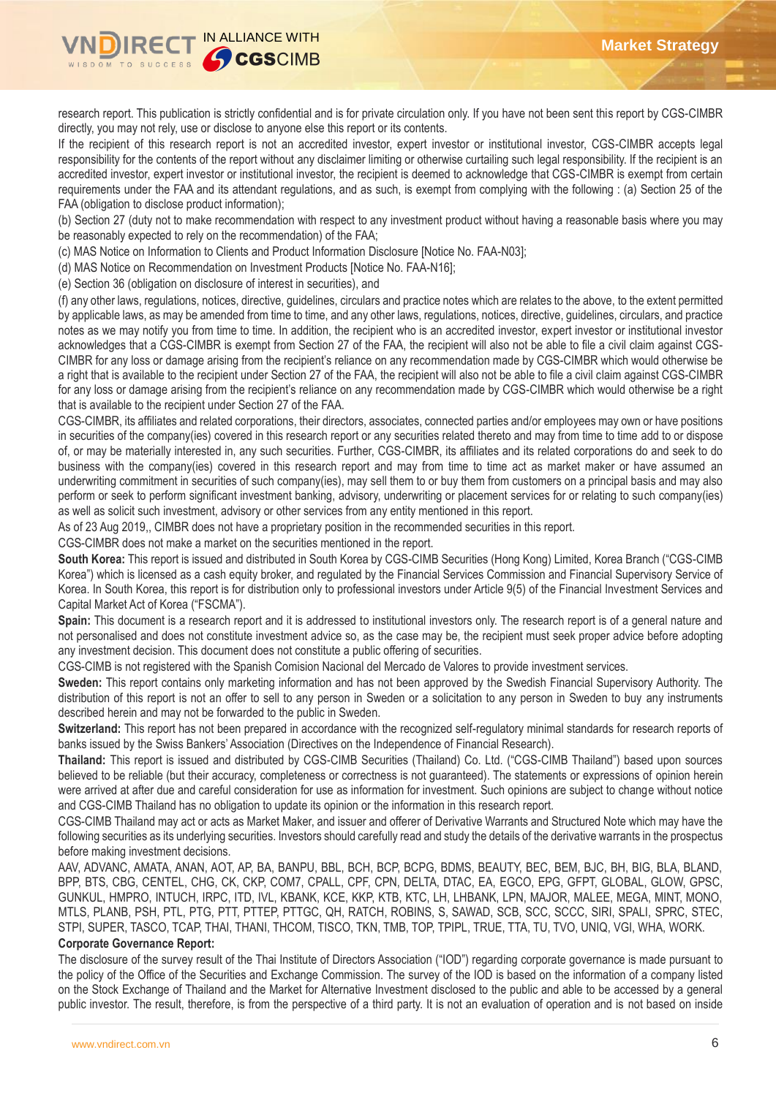

research report. This publication is strictly confidential and is for private circulation only. If you have not been sent this report by CGS-CIMBR directly, you may not rely, use or disclose to anyone else this report or its contents.

If the recipient of this research report is not an accredited investor, expert investor or institutional investor, CGS-CIMBR accepts legal responsibility for the contents of the report without any disclaimer limiting or otherwise curtailing such legal responsibility. If the recipient is an accredited investor, expert investor or institutional investor, the recipient is deemed to acknowledge that CGS-CIMBR is exempt from certain requirements under the FAA and its attendant regulations, and as such, is exempt from complying with the following : (a) Section 25 of the FAA (obligation to disclose product information);

(b) Section 27 (duty not to make recommendation with respect to any investment product without having a reasonable basis where you may be reasonably expected to rely on the recommendation) of the FAA;

(c) MAS Notice on Information to Clients and Product Information Disclosure [Notice No. FAA-N03];

(d) MAS Notice on Recommendation on Investment Products [Notice No. FAA-N16];

(e) Section 36 (obligation on disclosure of interest in securities), and

(f) any other laws, regulations, notices, directive, guidelines, circulars and practice notes which are relates to the above, to the extent permitted by applicable laws, as may be amended from time to time, and any other laws, regulations, notices, directive, guidelines, circulars, and practice notes as we may notify you from time to time. In addition, the recipient who is an accredited investor, expert investor or institutional investor acknowledges that a CGS-CIMBR is exempt from Section 27 of the FAA, the recipient will also not be able to file a civil claim against CGS-CIMBR for any loss or damage arising from the recipient's reliance on any recommendation made by CGS-CIMBR which would otherwise be a right that is available to the recipient under Section 27 of the FAA, the recipient will also not be able to file a civil claim against CGS-CIMBR for any loss or damage arising from the recipient's reliance on any recommendation made by CGS-CIMBR which would otherwise be a right that is available to the recipient under Section 27 of the FAA.

CGS-CIMBR, its affiliates and related corporations, their directors, associates, connected parties and/or employees may own or have positions in securities of the company(ies) covered in this research report or any securities related thereto and may from time to time add to or dispose of, or may be materially interested in, any such securities. Further, CGS-CIMBR, its affiliates and its related corporations do and seek to do business with the company(ies) covered in this research report and may from time to time act as market maker or have assumed an underwriting commitment in securities of such company(ies), may sell them to or buy them from customers on a principal basis and may also perform or seek to perform significant investment banking, advisory, underwriting or placement services for or relating to such company(ies) as well as solicit such investment, advisory or other services from any entity mentioned in this report.

As of 23 Aug 2019,, CIMBR does not have a proprietary position in the recommended securities in this report.

CGS-CIMBR does not make a market on the securities mentioned in the report.

**South Korea:** This report is issued and distributed in South Korea by CGS-CIMB Securities (Hong Kong) Limited, Korea Branch ("CGS-CIMB Korea") which is licensed as a cash equity broker, and regulated by the Financial Services Commission and Financial Supervisory Service of Korea. In South Korea, this report is for distribution only to professional investors under Article 9(5) of the Financial Investment Services and Capital Market Act of Korea ("FSCMA").

**Spain:** This document is a research report and it is addressed to institutional investors only. The research report is of a general nature and not personalised and does not constitute investment advice so, as the case may be, the recipient must seek proper advice before adopting any investment decision. This document does not constitute a public offering of securities.

CGS-CIMB is not registered with the Spanish Comision Nacional del Mercado de Valores to provide investment services.

**Sweden:** This report contains only marketing information and has not been approved by the Swedish Financial Supervisory Authority. The distribution of this report is not an offer to sell to any person in Sweden or a solicitation to any person in Sweden to buy any instruments described herein and may not be forwarded to the public in Sweden.

**Switzerland:** This report has not been prepared in accordance with the recognized self-regulatory minimal standards for research reports of banks issued by the Swiss Bankers' Association (Directives on the Independence of Financial Research).

**Thailand:** This report is issued and distributed by CGS-CIMB Securities (Thailand) Co. Ltd. ("CGS-CIMB Thailand") based upon sources believed to be reliable (but their accuracy, completeness or correctness is not guaranteed). The statements or expressions of opinion herein were arrived at after due and careful consideration for use as information for investment. Such opinions are subject to change without notice and CGS-CIMB Thailand has no obligation to update its opinion or the information in this research report.

CGS-CIMB Thailand may act or acts as Market Maker, and issuer and offerer of Derivative Warrants and Structured Note which may have the following securities as its underlying securities. Investors should carefully read and study the details of the derivative warrants in the prospectus before making investment decisions.

AAV, ADVANC, AMATA, ANAN, AOT, AP, BA, BANPU, BBL, BCH, BCP, BCPG, BDMS, BEAUTY, BEC, BEM, BJC, BH, BIG, BLA, BLAND, BPP, BTS, CBG, CENTEL, CHG, CK, CKP, COM7, CPALL, CPF, CPN, DELTA, DTAC, EA, EGCO, EPG, GFPT, GLOBAL, GLOW, GPSC, GUNKUL, HMPRO, INTUCH, IRPC, ITD, IVL, KBANK, KCE, KKP, KTB, KTC, LH, LHBANK, LPN, MAJOR, MALEE, MEGA, MINT, MONO, MTLS, PLANB, PSH, PTL, PTG, PTT, PTTEP, PTTGC, QH, RATCH, ROBINS, S, SAWAD, SCB, SCC, SCCC, SIRI, SPALI, SPRC, STEC, STPI, SUPER, TASCO, TCAP, THAI, THANI, THCOM, TISCO, TKN, TMB, TOP, TPIPL, TRUE, TTA, TU, TVO, UNIQ, VGI, WHA, WORK.

### **Corporate Governance Report:**

The disclosure of the survey result of the Thai Institute of Directors Association ("IOD") regarding corporate governance is made pursuant to the policy of the Office of the Securities and Exchange Commission. The survey of the IOD is based on the information of a company listed on the Stock Exchange of Thailand and the Market for Alternative Investment disclosed to the public and able to be accessed by a general public investor. The result, therefore, is from the perspective of a third party. It is not an evaluation of operation and is not based on inside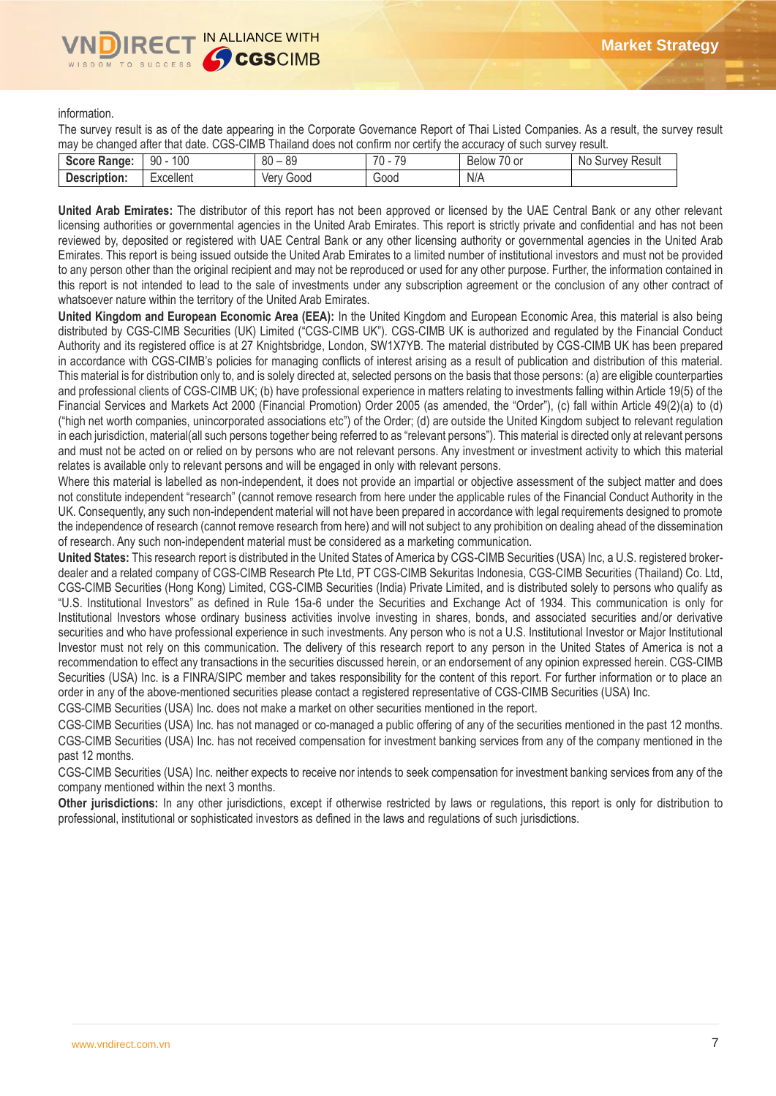information.

The survey result is as of the date appearing in the Corporate Governance Report of Thai Listed Companies. As a result, the survey result may be changed after that date. CGS-CIMB Thailand does not confirm nor certify the accuracy of such survey result.

| --                                                    |               |                |          |                                  |                             |
|-------------------------------------------------------|---------------|----------------|----------|----------------------------------|-----------------------------|
| <b>Score</b><br>$\mathcal{A}$ e Range: $\blacksquare$ | 100<br>90     | 0C<br>80<br>೦೮ | 70<br>70 | $\sim$ $\sim$<br>. U or<br>Below | .No<br>Result<br>vev<br>Sur |
| <b>Description:</b>                                   | <br>Excellent | Good<br>Verv   | Good     | N/A                              |                             |
|                                                       |               |                |          |                                  |                             |

**United Arab Emirates:** The distributor of this report has not been approved or licensed by the UAE Central Bank or any other relevant licensing authorities or governmental agencies in the United Arab Emirates. This report is strictly private and confidential and has not been reviewed by, deposited or registered with UAE Central Bank or any other licensing authority or governmental agencies in the United Arab Emirates. This report is being issued outside the United Arab Emirates to a limited number of institutional investors and must not be provided to any person other than the original recipient and may not be reproduced or used for any other purpose. Further, the information contained in this report is not intended to lead to the sale of investments under any subscription agreement or the conclusion of any other contract of whatsoever nature within the territory of the United Arab Emirates.

**United Kingdom and European Economic Area (EEA):** In the United Kingdom and European Economic Area, this material is also being distributed by CGS-CIMB Securities (UK) Limited ("CGS-CIMB UK"). CGS-CIMB UK is authorized and regulated by the Financial Conduct Authority and its registered office is at 27 Knightsbridge, London, SW1X7YB. The material distributed by CGS-CIMB UK has been prepared in accordance with CGS-CIMB's policies for managing conflicts of interest arising as a result of publication and distribution of this material. This material is for distribution only to, and is solely directed at, selected persons on the basis that those persons: (a) are eligible counterparties and professional clients of CGS-CIMB UK; (b) have professional experience in matters relating to investments falling within Article 19(5) of the Financial Services and Markets Act 2000 (Financial Promotion) Order 2005 (as amended, the "Order"), (c) fall within Article 49(2)(a) to (d) ("high net worth companies, unincorporated associations etc") of the Order; (d) are outside the United Kingdom subject to relevant regulation in each jurisdiction, material(all such persons together being referred to as "relevant persons"). This material is directed only at relevant persons and must not be acted on or relied on by persons who are not relevant persons. Any investment or investment activity to which this material relates is available only to relevant persons and will be engaged in only with relevant persons.

Where this material is labelled as non-independent, it does not provide an impartial or objective assessment of the subject matter and does not constitute independent "research" (cannot remove research from here under the applicable rules of the Financial Conduct Authority in the UK. Consequently, any such non-independent material will not have been prepared in accordance with legal requirements designed to promote the independence of research (cannot remove research from here) and will not subject to any prohibition on dealing ahead of the dissemination of research. Any such non-independent material must be considered as a marketing communication.

**United States:** This research report is distributed in the United States of America by CGS-CIMB Securities (USA) Inc, a U.S. registered brokerdealer and a related company of CGS-CIMB Research Pte Ltd, PT CGS-CIMB Sekuritas Indonesia, CGS-CIMB Securities (Thailand) Co. Ltd, CGS-CIMB Securities (Hong Kong) Limited, CGS-CIMB Securities (India) Private Limited, and is distributed solely to persons who qualify as "U.S. Institutional Investors" as defined in Rule 15a-6 under the Securities and Exchange Act of 1934. This communication is only for Institutional Investors whose ordinary business activities involve investing in shares, bonds, and associated securities and/or derivative securities and who have professional experience in such investments. Any person who is not a U.S. Institutional Investor or Major Institutional Investor must not rely on this communication. The delivery of this research report to any person in the United States of America is not a recommendation to effect any transactions in the securities discussed herein, or an endorsement of any opinion expressed herein. CGS-CIMB Securities (USA) Inc. is a FINRA/SIPC member and takes responsibility for the content of this report. For further information or to place an order in any of the above-mentioned securities please contact a registered representative of CGS-CIMB Securities (USA) Inc.

CGS-CIMB Securities (USA) Inc. does not make a market on other securities mentioned in the report.

CGS-CIMB Securities (USA) Inc. has not managed or co-managed a public offering of any of the securities mentioned in the past 12 months. CGS-CIMB Securities (USA) Inc. has not received compensation for investment banking services from any of the company mentioned in the past 12 months.

CGS-CIMB Securities (USA) Inc. neither expects to receive nor intends to seek compensation for investment banking services from any of the company mentioned within the next 3 months.

**Other jurisdictions:** In any other jurisdictions, except if otherwise restricted by laws or regulations, this report is only for distribution to professional, institutional or sophisticated investors as defined in the laws and regulations of such jurisdictions.